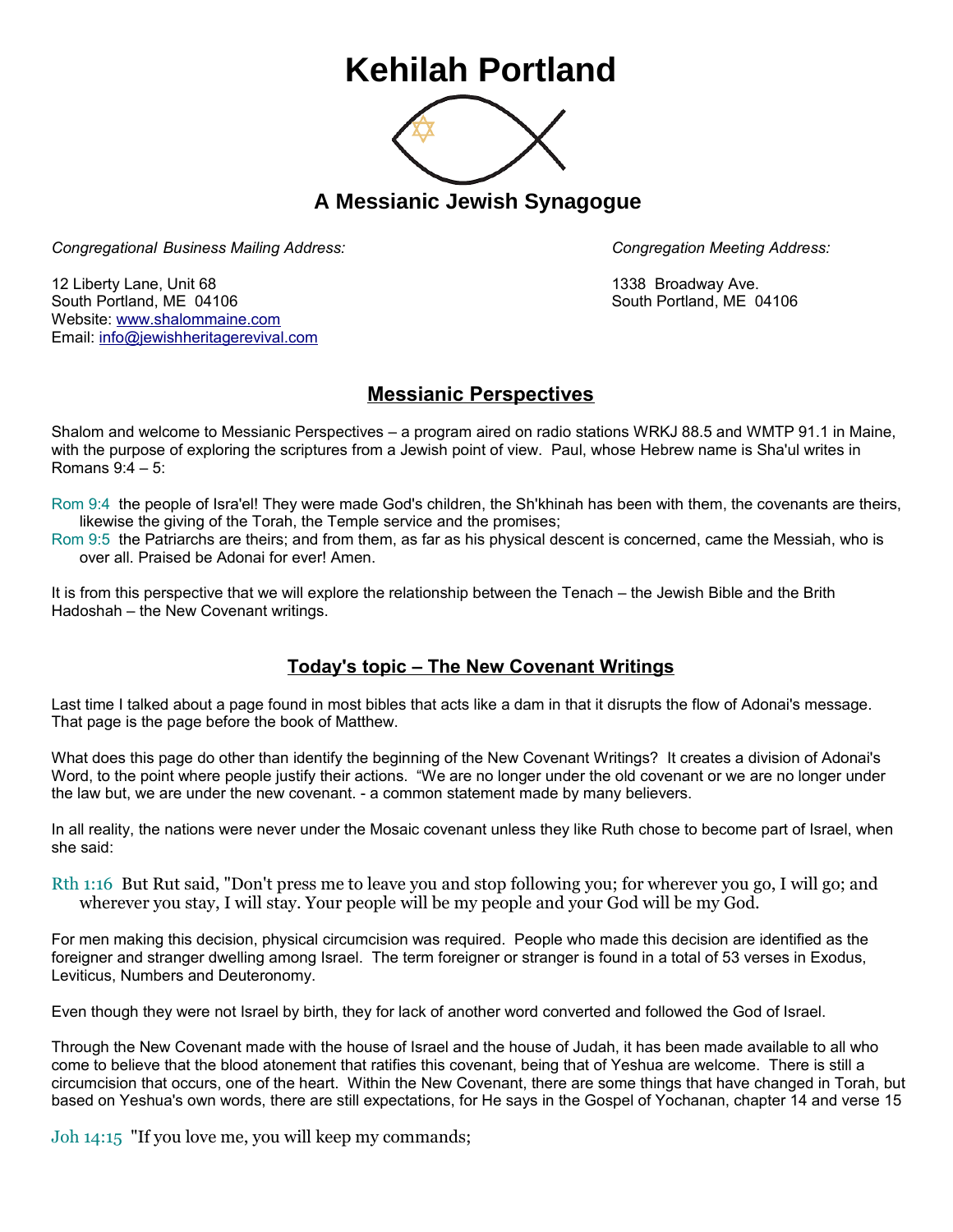## **Kehilah Portland**



**A Messianic Jewish Synagogue** 

*Congregational Business Mailing Address: Congregation Meeting Address:*

12 Liberty Lane, Unit 68 1338 Broadway Ave. South Portland, ME 04106 South Portland, ME 04106 Website: [www.shalommaine.com](http://www.shalommaine.com/) Email: [info@jewishheritagerevival.com](mailto:info@jewishheritagerevival.com) 

## **Messianic Perspectives**

Shalom and welcome to Messianic Perspectives – a program aired on radio stations WRKJ 88.5 and WMTP 91.1 in Maine, with the purpose of exploring the scriptures from a Jewish point of view. Paul, whose Hebrew name is Sha'ul writes in Romans 9:4 – 5:

- Rom 9:4 the people of Isra'el! They were made God's children, the Sh'khinah has been with them, the covenants are theirs, likewise the giving of the Torah, the Temple service and the promises;
- Rom 9:5 the Patriarchs are theirs; and from them, as far as his physical descent is concerned, came the Messiah, who is over all. Praised be Adonai for ever! Amen.

It is from this perspective that we will explore the relationship between the Tenach – the Jewish Bible and the Brith Hadoshah – the New Covenant writings.

## **Today's topic – The New Covenant Writings**

Last time I talked about a page found in most bibles that acts like a dam in that it disrupts the flow of Adonai's message. That page is the page before the book of Matthew.

What does this page do other than identify the beginning of the New Covenant Writings? It creates a division of Adonai's Word, to the point where people justify their actions. "We are no longer under the old covenant or we are no longer under the law but, we are under the new covenant. - a common statement made by many believers.

In all reality, the nations were never under the Mosaic covenant unless they like Ruth chose to become part of Israel, when she said:

Rth 1:16 But Rut said, "Don't press me to leave you and stop following you; for wherever you go, I will go; and wherever you stay, I will stay. Your people will be my people and your God will be my God.

For men making this decision, physical circumcision was required. People who made this decision are identified as the foreigner and stranger dwelling among Israel. The term foreigner or stranger is found in a total of 53 verses in Exodus, Leviticus, Numbers and Deuteronomy.

Even though they were not Israel by birth, they for lack of another word converted and followed the God of Israel.

Through the New Covenant made with the house of Israel and the house of Judah, it has been made available to all who come to believe that the blood atonement that ratifies this covenant, being that of Yeshua are welcome. There is still a circumcision that occurs, one of the heart. Within the New Covenant, there are some things that have changed in Torah, but based on Yeshua's own words, there are still expectations, for He says in the Gospel of Yochanan, chapter 14 and verse 15

Joh 14:15 "If you love me, you will keep my commands;